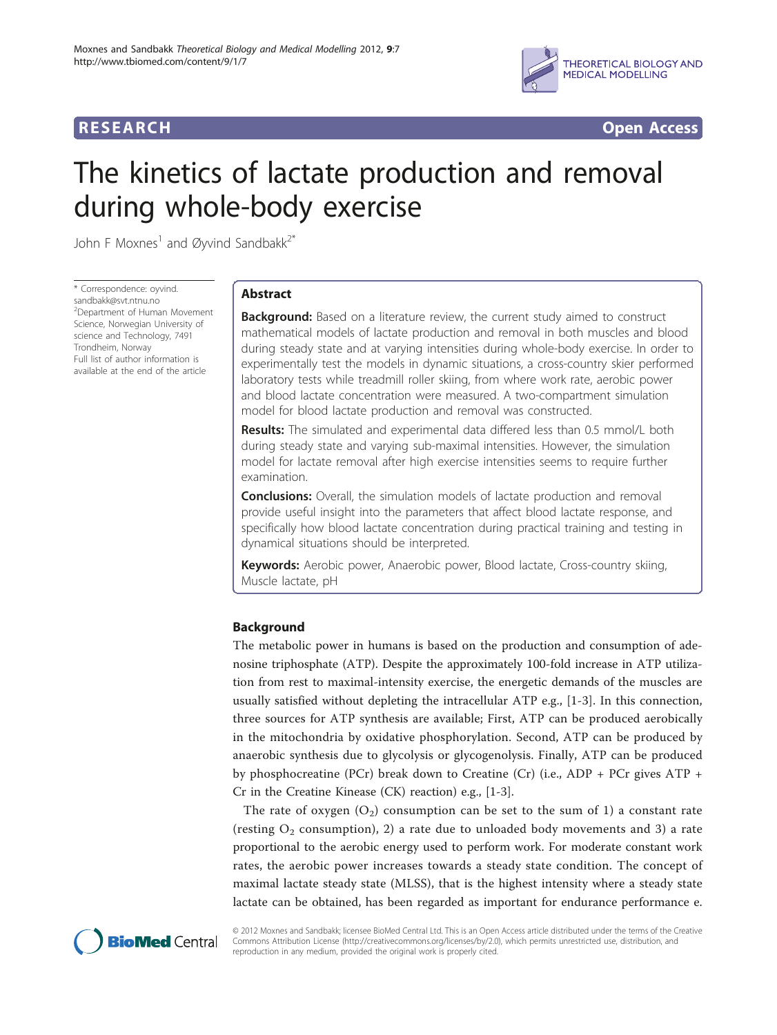





# The kinetics of lactate production and removal during whole-body exercise

John F Moxnes<sup>1</sup> and Øyvind Sandbakk<sup>2\*</sup>

\* Correspondence: [oyvind.](mailto:oyvind.sandbakk@svt.ntnu.no) [sandbakk@svt.ntnu.no](mailto:oyvind.sandbakk@svt.ntnu.no) <sup>2</sup>Department of Human Movement Science, Norwegian University of science and Technology, 7491 Trondheim, Norway Full list of author information is available at the end of the article

# Abstract

**Background:** Based on a literature review, the current study aimed to construct mathematical models of lactate production and removal in both muscles and blood during steady state and at varying intensities during whole-body exercise. In order to experimentally test the models in dynamic situations, a cross-country skier performed laboratory tests while treadmill roller skiing, from where work rate, aerobic power and blood lactate concentration were measured. A two-compartment simulation model for blood lactate production and removal was constructed.

Results: The simulated and experimental data differed less than 0.5 mmol/L both during steady state and varying sub-maximal intensities. However, the simulation model for lactate removal after high exercise intensities seems to require further examination.

**Conclusions:** Overall, the simulation models of lactate production and removal provide useful insight into the parameters that affect blood lactate response, and specifically how blood lactate concentration during practical training and testing in dynamical situations should be interpreted.

Keywords: Aerobic power, Anaerobic power, Blood lactate, Cross-country skiing, Muscle lactate, pH

# Background

The metabolic power in humans is based on the production and consumption of adenosine triphosphate (ATP). Despite the approximately 100-fold increase in ATP utilization from rest to maximal-intensity exercise, the energetic demands of the muscles are usually satisfied without depleting the intracellular ATP e.g., [[1-3](#page-12-0)]. In this connection, three sources for ATP synthesis are available; First, ATP can be produced aerobically in the mitochondria by oxidative phosphorylation. Second, ATP can be produced by anaerobic synthesis due to glycolysis or glycogenolysis. Finally, ATP can be produced by phosphocreatine (PCr) break down to Creatine (Cr) (i.e., ADP + PCr gives ATP + Cr in the Creatine Kinease (CK) reaction) e.g., [[1](#page-12-0)-[3\]](#page-12-0).

The rate of oxygen  $(O_2)$  consumption can be set to the sum of 1) a constant rate (resting  $O_2$  consumption), 2) a rate due to unloaded body movements and 3) a rate proportional to the aerobic energy used to perform work. For moderate constant work rates, the aerobic power increases towards a steady state condition. The concept of maximal lactate steady state (MLSS), that is the highest intensity where a steady state lactate can be obtained, has been regarded as important for endurance performance e.



© 2012 Moxnes and Sandbakk; licensee BioMed Central Ltd. This is an Open Access article distributed under the terms of the Creative Commons Attribution License [\(http://creativecommons.org/licenses/by/2.0](http://creativecommons.org/licenses/by/2.0)), which permits unrestricted use, distribution, and reproduction in any medium, provided the original work is properly cited.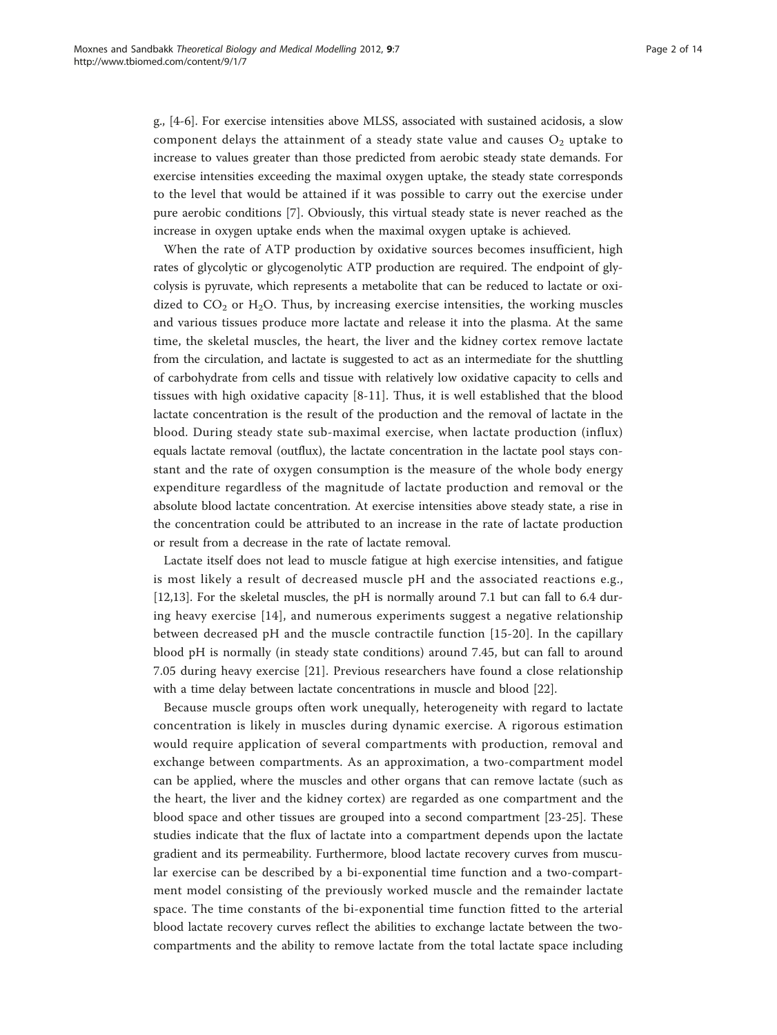g., [\[4-6](#page-12-0)]. For exercise intensities above MLSS, associated with sustained acidosis, a slow component delays the attainment of a steady state value and causes  $O<sub>2</sub>$  uptake to increase to values greater than those predicted from aerobic steady state demands. For exercise intensities exceeding the maximal oxygen uptake, the steady state corresponds to the level that would be attained if it was possible to carry out the exercise under pure aerobic conditions [\[7](#page-12-0)]. Obviously, this virtual steady state is never reached as the increase in oxygen uptake ends when the maximal oxygen uptake is achieved.

When the rate of ATP production by oxidative sources becomes insufficient, high rates of glycolytic or glycogenolytic ATP production are required. The endpoint of glycolysis is pyruvate, which represents a metabolite that can be reduced to lactate or oxidized to  $CO_2$  or  $H_2O$ . Thus, by increasing exercise intensities, the working muscles and various tissues produce more lactate and release it into the plasma. At the same time, the skeletal muscles, the heart, the liver and the kidney cortex remove lactate from the circulation, and lactate is suggested to act as an intermediate for the shuttling of carbohydrate from cells and tissue with relatively low oxidative capacity to cells and tissues with high oxidative capacity [[8-11\]](#page-12-0). Thus, it is well established that the blood lactate concentration is the result of the production and the removal of lactate in the blood. During steady state sub-maximal exercise, when lactate production (influx) equals lactate removal (outflux), the lactate concentration in the lactate pool stays constant and the rate of oxygen consumption is the measure of the whole body energy expenditure regardless of the magnitude of lactate production and removal or the absolute blood lactate concentration. At exercise intensities above steady state, a rise in the concentration could be attributed to an increase in the rate of lactate production or result from a decrease in the rate of lactate removal.

Lactate itself does not lead to muscle fatigue at high exercise intensities, and fatigue is most likely a result of decreased muscle pH and the associated reactions e.g., [[12,13](#page-12-0)]. For the skeletal muscles, the pH is normally around 7.1 but can fall to 6.4 during heavy exercise [\[14\]](#page-12-0), and numerous experiments suggest a negative relationship between decreased pH and the muscle contractile function [[15](#page-12-0)-[20](#page-12-0)]. In the capillary blood pH is normally (in steady state conditions) around 7.45, but can fall to around 7.05 during heavy exercise [[21\]](#page-12-0). Previous researchers have found a close relationship with a time delay between lactate concentrations in muscle and blood [\[22\]](#page-12-0).

Because muscle groups often work unequally, heterogeneity with regard to lactate concentration is likely in muscles during dynamic exercise. A rigorous estimation would require application of several compartments with production, removal and exchange between compartments. As an approximation, a two-compartment model can be applied, where the muscles and other organs that can remove lactate (such as the heart, the liver and the kidney cortex) are regarded as one compartment and the blood space and other tissues are grouped into a second compartment [[23-](#page-12-0)[25](#page-13-0)]. These studies indicate that the flux of lactate into a compartment depends upon the lactate gradient and its permeability. Furthermore, blood lactate recovery curves from muscular exercise can be described by a bi-exponential time function and a two-compartment model consisting of the previously worked muscle and the remainder lactate space. The time constants of the bi-exponential time function fitted to the arterial blood lactate recovery curves reflect the abilities to exchange lactate between the twocompartments and the ability to remove lactate from the total lactate space including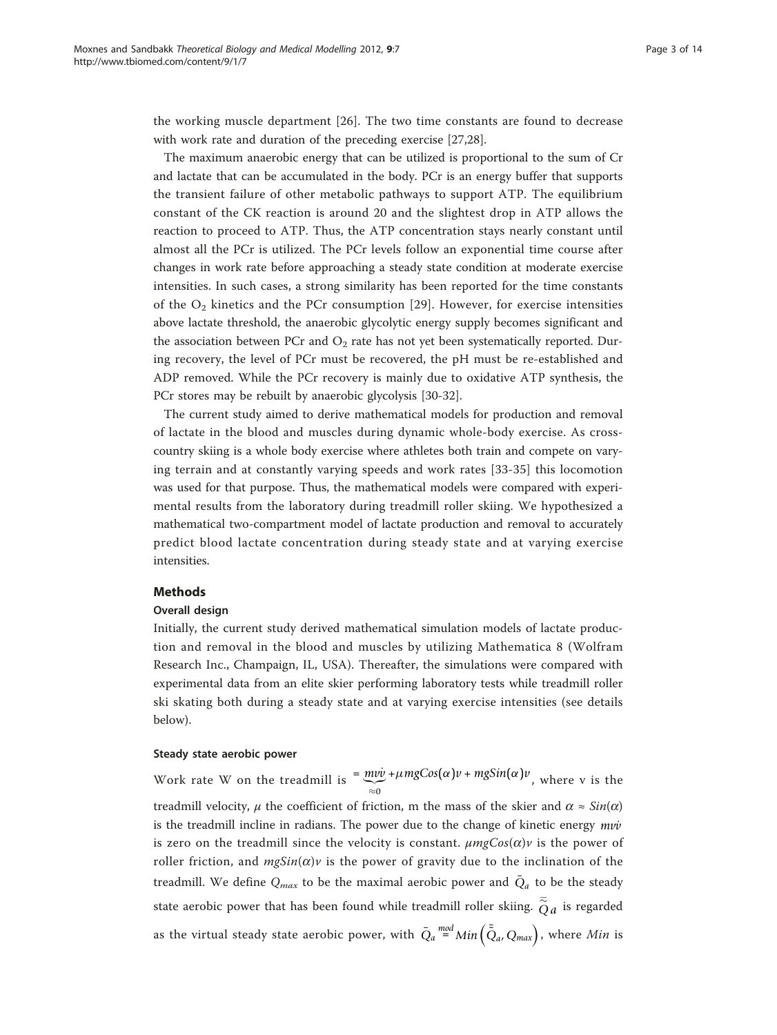the working muscle department [[26](#page-13-0)]. The two time constants are found to decrease with work rate and duration of the preceding exercise [\[27,28\]](#page-13-0).

The maximum anaerobic energy that can be utilized is proportional to the sum of Cr and lactate that can be accumulated in the body. PCr is an energy buffer that supports the transient failure of other metabolic pathways to support ATP. The equilibrium constant of the CK reaction is around 20 and the slightest drop in ATP allows the reaction to proceed to ATP. Thus, the ATP concentration stays nearly constant until almost all the PCr is utilized. The PCr levels follow an exponential time course after changes in work rate before approaching a steady state condition at moderate exercise intensities. In such cases, a strong similarity has been reported for the time constants of the  $O_2$  kinetics and the PCr consumption [\[29\]](#page-13-0). However, for exercise intensities above lactate threshold, the anaerobic glycolytic energy supply becomes significant and the association between PCr and  $O_2$  rate has not yet been systematically reported. During recovery, the level of PCr must be recovered, the pH must be re-established and ADP removed. While the PCr recovery is mainly due to oxidative ATP synthesis, the PCr stores may be rebuilt by anaerobic glycolysis [\[30-32](#page-13-0)].

The current study aimed to derive mathematical models for production and removal of lactate in the blood and muscles during dynamic whole-body exercise. As crosscountry skiing is a whole body exercise where athletes both train and compete on varying terrain and at constantly varying speeds and work rates [[33-35\]](#page-13-0) this locomotion was used for that purpose. Thus, the mathematical models were compared with experimental results from the laboratory during treadmill roller skiing. We hypothesized a mathematical two-compartment model of lactate production and removal to accurately predict blood lactate concentration during steady state and at varying exercise intensities.

# Methods

## Overall design

Initially, the current study derived mathematical simulation models of lactate production and removal in the blood and muscles by utilizing Mathematica 8 (Wolfram Research Inc., Champaign, IL, USA). Thereafter, the simulations were compared with experimental data from an elite skier performing laboratory tests while treadmill roller ski skating both during a steady state and at varying exercise intensities (see details below).

## Steady state aerobic power

Work rate W on the treadmill is  $=$   $\frac{m v v}{\approx 0}$ + $\mu$ *mgCos*( $\alpha$ )*v* + *mgSin*( $\alpha$ )*v*<sub>,</sub> where v is the treadmill velocity,  $\mu$  the coefficient of friction, m the mass of the skier and  $\alpha \approx \sin(\alpha)$ is the treadmill incline in radians. The power due to the change of kinetic energy  $m\nu\dot{\nu}$ is zero on the treadmill since the velocity is constant.  $\mu mgCos(\alpha)v$  is the power of roller friction, and  $mgSin(\alpha)v$  is the power of gravity due to the inclination of the treadmill. We define  $Q_{max}$  to be the maximal aerobic power and  $\overline{Q}_a$  to be the steady state aerobic power that has been found while treadmill roller skiing.  $\bar{\tilde{Q}}a$  is regarded as the virtual steady state aerobic power, with  $\bar{Q}_a \stackrel{mod}{=} Min\left(\bar{\tilde{Q}}_a,Q_{max}\right)$ , where  $Min$  is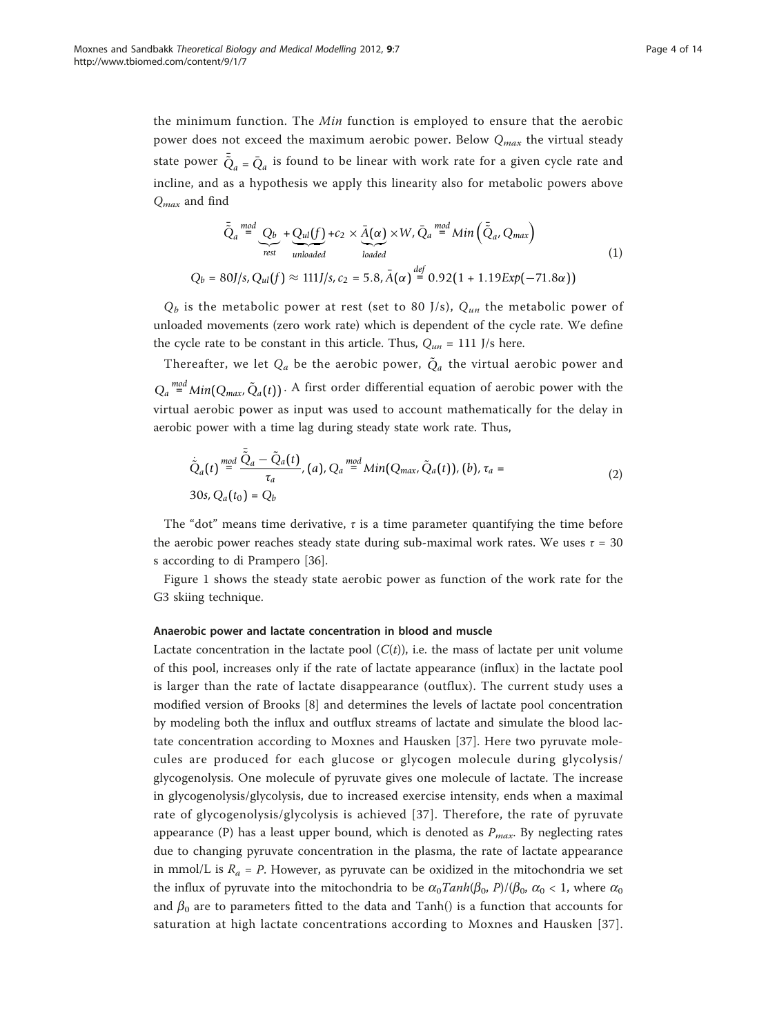the minimum function. The Min function is employed to ensure that the aerobic power does not exceed the maximum aerobic power. Below  $Q_{max}$  the virtual steady state power  $\tilde{Q}_a$  =  $\bar{Q}_a$  is found to be linear with work rate for a given cycle rate and incline, and as a hypothesis we apply this linearity also for metabolic powers above  $Q_{max}$  and find

$$
\bar{\tilde{Q}}_a \stackrel{mod}{=} \underbrace{Q_b}_{rest} + \underbrace{Q_{ul}(f)}_{unloaded} + c_2 \times \bar{A}(\alpha) \times W, \bar{Q}_a \stackrel{mod}{=} \text{Min}\left(\bar{\tilde{Q}}_a, Q_{max}\right)
$$
\n
$$
Q_b = 80J/s, Q_{ul}(f) \approx 111J/s, c_2 = 5.8, \bar{A}(\alpha) \stackrel{def}{=} 0.92(1 + 1.19 \exp(-71.8\alpha))
$$
\n(1)

 $Q_b$  is the metabolic power at rest (set to 80 J/s),  $Q_{un}$  the metabolic power of unloaded movements (zero work rate) which is dependent of the cycle rate. We define the cycle rate to be constant in this article. Thus,  $Q_{un} = 111$  J/s here.

Thereafter, we let  $Q_a$  be the aerobic power,  $\tilde{Q}_a$  the virtual aerobic power and  $Q_a \stackrel{\textit{mod}}{=} \textit{Min}(Q_{\textit{max}}, \tilde{Q}_a(t))$ . A first order differential equation of aerobic power with the virtual aerobic power as input was used to account mathematically for the delay in aerobic power with a time lag during steady state work rate. Thus,

$$
\dot{\tilde{Q}}_a(t) \stackrel{mod}{=} \frac{\tilde{Q}_a - \tilde{Q}_a(t)}{\tau_a}, (a), Q_a \stackrel{mod}{=} \text{Min}(Q_{\text{max}}, \tilde{Q}_a(t)), (b), \tau_a = 30s, Q_a(t_0) = Q_b
$$
\n(2)

The "dot" means time derivative,  $\tau$  is a time parameter quantifying the time before the aerobic power reaches steady state during sub-maximal work rates. We uses  $\tau = 30$ s according to di Prampero [\[36](#page-13-0)].

Figure [1](#page-4-0) shows the steady state aerobic power as function of the work rate for the G3 skiing technique.

## Anaerobic power and lactate concentration in blood and muscle

Lactate concentration in the lactate pool  $(C(t))$ , i.e. the mass of lactate per unit volume of this pool, increases only if the rate of lactate appearance (influx) in the lactate pool is larger than the rate of lactate disappearance (outflux). The current study uses a modified version of Brooks [[8\]](#page-12-0) and determines the levels of lactate pool concentration by modeling both the influx and outflux streams of lactate and simulate the blood lactate concentration according to Moxnes and Hausken [[37\]](#page-13-0). Here two pyruvate molecules are produced for each glucose or glycogen molecule during glycolysis/ glycogenolysis. One molecule of pyruvate gives one molecule of lactate. The increase in glycogenolysis/glycolysis, due to increased exercise intensity, ends when a maximal rate of glycogenolysis/glycolysis is achieved [[37\]](#page-13-0). Therefore, the rate of pyruvate appearance (P) has a least upper bound, which is denoted as  $P_{max}$ . By neglecting rates due to changing pyruvate concentration in the plasma, the rate of lactate appearance in mmol/L is  $R_a = P$ . However, as pyruvate can be oxidized in the mitochondria we set the influx of pyruvate into the mitochondria to be  $\alpha_0 \tanh(\beta_0, P)/(\beta_0, \alpha_0 < 1$ , where  $\alpha_0$ and  $\beta_0$  are to parameters fitted to the data and Tanh() is a function that accounts for saturation at high lactate concentrations according to Moxnes and Hausken [[37](#page-13-0)].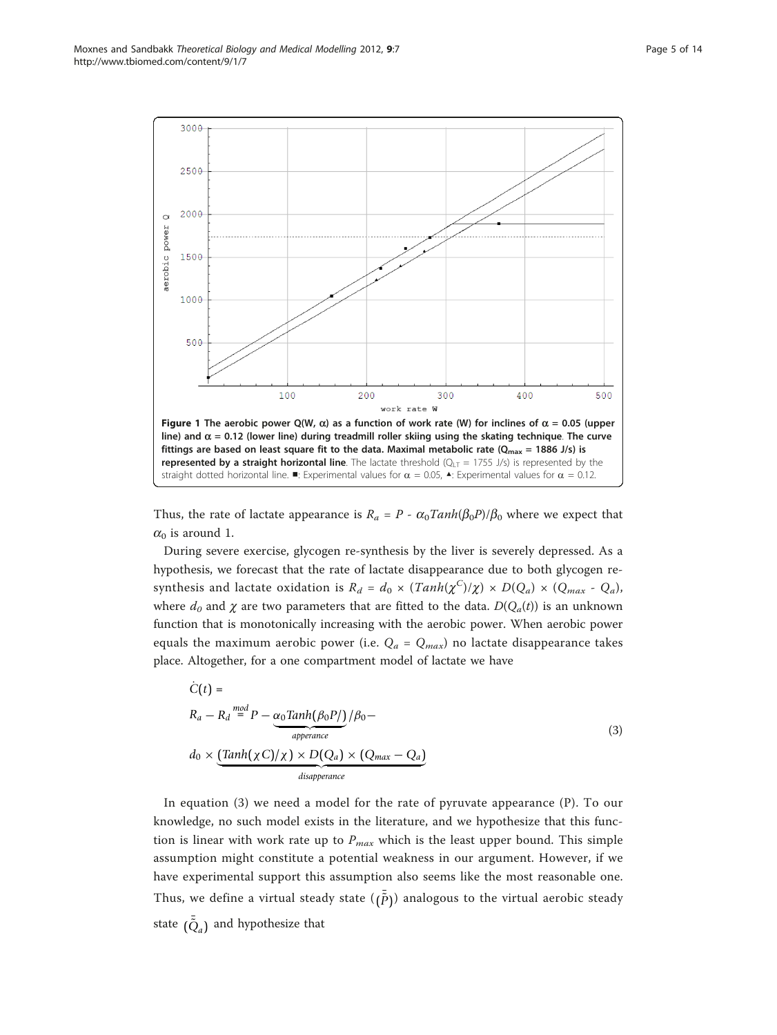<span id="page-4-0"></span>

Thus, the rate of lactate appearance is  $R_a = P - \alpha_0 \text{Tanh}(\beta_0 P)/\beta_0$  where we expect that  $\alpha_0$  is around 1.

During severe exercise, glycogen re-synthesis by the liver is severely depressed. As a hypothesis, we forecast that the rate of lactate disappearance due to both glycogen resynthesis and lactate oxidation is  $R_d = d_0 \times (Tanh(\chi^C)/\chi) \times D(Q_a) \times (Q_{max} - Q_a)$ , where  $d_0$  and  $\chi$  are two parameters that are fitted to the data.  $D(Q_a(t))$  is an unknown function that is monotonically increasing with the aerobic power. When aerobic power equals the maximum aerobic power (i.e.  $Q_a = Q_{max}$ ) no lactate disappearance takes place. Altogether, for a one compartment model of lactate we have

$$
\dot{C}(t) =
$$
\n
$$
R_a - R_d \stackrel{mod}{=} P - \underbrace{\alpha_0 \text{Tanh}(\beta_0 P/)}_{\text{apperance}} / \beta_0 -
$$
\n
$$
d_0 \times \underbrace{\text{Tanh}(\chi C)/\chi) \times D(Q_a) \times (Q_{max} - Q_a)}_{\text{disapperance}}
$$
\n(3)

In equation (3) we need a model for the rate of pyruvate appearance (P). To our knowledge, no such model exists in the literature, and we hypothesize that this function is linear with work rate up to  $P_{max}$  which is the least upper bound. This simple assumption might constitute a potential weakness in our argument. However, if we have experimental support this assumption also seems like the most reasonable one. Thus, we define a virtual steady state  $(\tilde{p})$  analogous to the virtual aerobic steady state  $(\tilde{Q}_a)$  and hypothesize that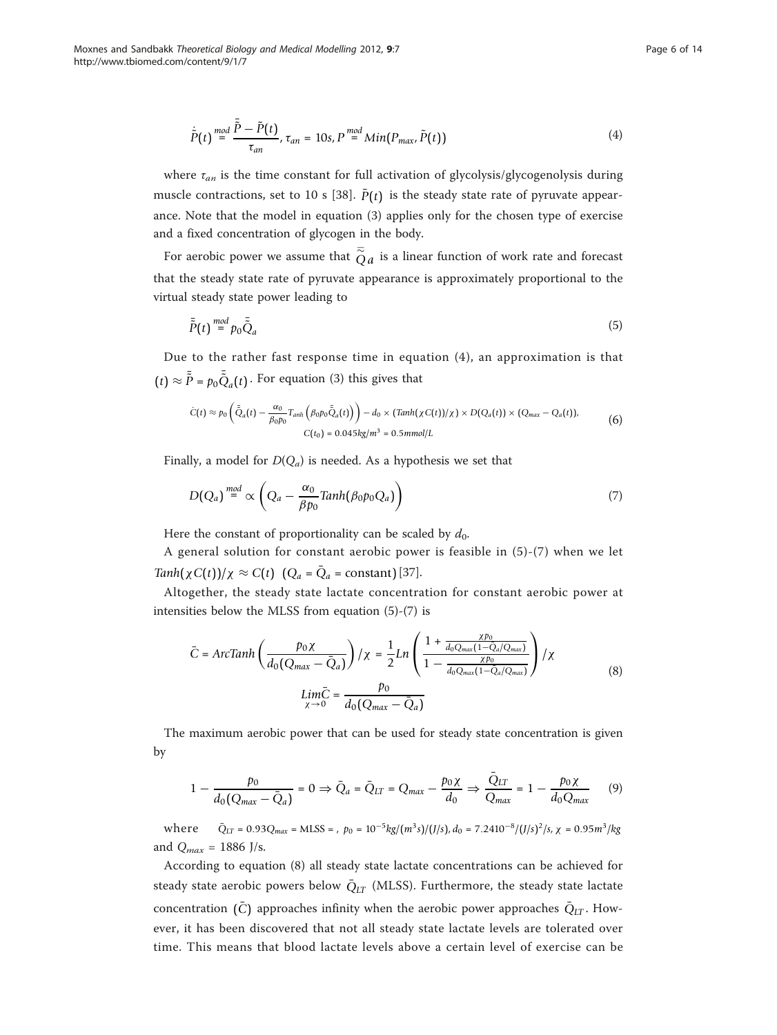$$
\dot{\tilde{P}}(t) \stackrel{mod}{=} \frac{\tilde{\tilde{P}} - \tilde{P}(t)}{\tau_{an}}, \tau_{an} = 10s, P \stackrel{mod}{=} Min(P_{max}, \tilde{P}(t))
$$
\n(4)

where  $\tau_{an}$  is the time constant for full activation of glycolysis/glycogenolysis during muscle contractions, set to 10 s [\[38](#page-13-0)].  $\bar{P}(t)$  is the steady state rate of pyruvate appearance. Note that the model in equation (3) applies only for the chosen type of exercise and a fixed concentration of glycogen in the body.

For aerobic power we assume that  $\bar{\widetilde{Q}}_a$  is a linear function of work rate and forecast that the steady state rate of pyruvate appearance is approximately proportional to the virtual steady state power leading to

$$
\bar{\tilde{P}}(t) \stackrel{mod}{=} p_0 \bar{\tilde{Q}}_a \tag{5}
$$

Due to the rather fast response time in equation (4), an approximation is that  $(t) \approx \tilde{P} = p_0 \tilde{Q}_a(t)$ . For equation (3) this gives that

$$
\dot{C}(t) \approx p_0 \left( \tilde{\bar{Q}}_a(t) - \frac{\alpha_0}{\beta_0 p_0} T_{anh} \left( \beta_0 p_0 \tilde{\bar{Q}}_a(t) \right) \right) - d_0 \times (Tanh(\chi C(t))/\chi) \times D(Q_a(t)) \times (Q_{max} - Q_a(t)),
$$
\n
$$
C(t_0) = 0.045 kg/m^3 = 0.5 mmol/L
$$
\n(6)

Finally, a model for  $D(Q_a)$  is needed. As a hypothesis we set that

$$
D(Q_a) \stackrel{mod}{=} \propto \left(Q_a - \frac{\alpha_0}{\beta p_0} \text{Tanh}(\beta_0 p_0 Q_a)\right) \tag{7}
$$

Here the constant of proportionality can be scaled by  $d_0$ .

A general solution for constant aerobic power is feasible in (5)-(7) when we let  $Tanh(\chi C(t))/\chi \approx C(t)$   $(Q_a = \overline{Q}_a = constant)$  [[37\]](#page-13-0).

Altogether, the steady state lactate concentration for constant aerobic power at intensities below the MLSS from equation (5)-(7) is

$$
\bar{C} = ArcTanh\left(\frac{p_0\chi}{d_0(Q_{max} - \bar{Q}_a)}\right)/\chi = \frac{1}{2}Ln\left(\frac{1 + \frac{\chi p_0}{d_0Q_{max}(1 - \bar{Q}_a/Q_{max})}}{1 - \frac{\chi p_0}{d_0Q_{max}(1 - \bar{Q}_a/Q_{max})}}\right)/\chi
$$
\n
$$
Lim\bar{C} = \frac{p_0}{d_0(Q_{max} - \bar{Q}_a)}\tag{8}
$$

The maximum aerobic power that can be used for steady state concentration is given by

$$
1 - \frac{p_0}{d_0(Q_{max} - \bar{Q}_a)} = 0 \Rightarrow \bar{Q}_a = \bar{Q}_{LT} = Q_{max} - \frac{p_0 \chi}{d_0} \Rightarrow \frac{\bar{Q}_{LT}}{Q_{max}} = 1 - \frac{p_0 \chi}{d_0 Q_{max}} \tag{9}
$$

 $W$ here  $\bar{Q}_{LT} = 0.93 Q_{max} = M LSS =$ ,  $p_0 = 10^{-5} kg/(m^3 s)/(J/s)$ ,  $d_0 = 7.2410^{-8}/(J/s)^2/s$ ,  $\chi = 0.95 m^3/kg$ and  $Q_{max} = 1886$  J/s.

According to equation (8) all steady state lactate concentrations can be achieved for steady state aerobic powers below  $\bar{Q}_{LT}$  (MLSS). Furthermore, the steady state lactate concentration  $(\bar{C})$  approaches infinity when the aerobic power approaches  $\bar{Q}_{LT}$ . However, it has been discovered that not all steady state lactate levels are tolerated over time. This means that blood lactate levels above a certain level of exercise can be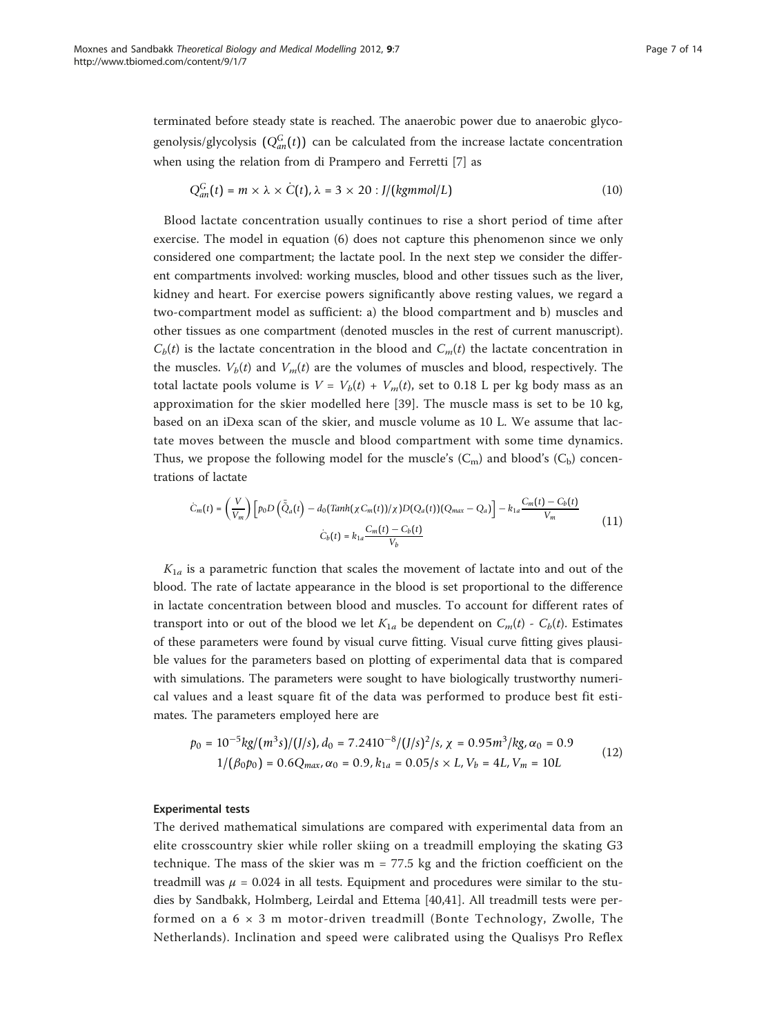terminated before steady state is reached. The anaerobic power due to anaerobic glycogenolysis/glycolysis  $(Q_{an}^G(t))$  can be calculated from the increase lactate concentration when using the relation from di Prampero and Ferretti [[7\]](#page-12-0) as

$$
Q_{an}^G(t) = m \times \lambda \times \dot{C}(t), \lambda = 3 \times 20 : J/(kgmmol/L)
$$
 (10)

Blood lactate concentration usually continues to rise a short period of time after exercise. The model in equation (6) does not capture this phenomenon since we only considered one compartment; the lactate pool. In the next step we consider the different compartments involved: working muscles, blood and other tissues such as the liver, kidney and heart. For exercise powers significantly above resting values, we regard a two-compartment model as sufficient: a) the blood compartment and b) muscles and other tissues as one compartment (denoted muscles in the rest of current manuscript).  $C_b(t)$  is the lactate concentration in the blood and  $C_m(t)$  the lactate concentration in the muscles.  $V_b(t)$  and  $V_m(t)$  are the volumes of muscles and blood, respectively. The total lactate pools volume is  $V = V_b(t) + V_m(t)$ , set to 0.18 L per kg body mass as an approximation for the skier modelled here [\[39\]](#page-13-0). The muscle mass is set to be 10 kg, based on an iDexa scan of the skier, and muscle volume as 10 L. We assume that lactate moves between the muscle and blood compartment with some time dynamics. Thus, we propose the following model for the muscle's  $(C_m)$  and blood's  $(C_b)$  concentrations of lactate

$$
\dot{C}_m(t) = \left(\frac{V}{V_m}\right) \left[p_0 D\left(\bar{\tilde{Q}}_a(t) - d_0(\text{Tanh}(\chi C_m(t))/\chi)D(Q_a(t))(Q_{max} - Q_a)\right] - k_{1a}\frac{C_m(t) - C_b(t)}{V_m}\right]
$$
\n
$$
\dot{C}_b(t) = k_{1a}\frac{C_m(t) - C_b(t)}{V_b}
$$
\n(11)

 $K_{1a}$  is a parametric function that scales the movement of lactate into and out of the blood. The rate of lactate appearance in the blood is set proportional to the difference in lactate concentration between blood and muscles. To account for different rates of transport into or out of the blood we let  $K_{1a}$  be dependent on  $C_m(t)$  -  $C_b(t)$ . Estimates of these parameters were found by visual curve fitting. Visual curve fitting gives plausible values for the parameters based on plotting of experimental data that is compared with simulations. The parameters were sought to have biologically trustworthy numerical values and a least square fit of the data was performed to produce best fit estimates. The parameters employed here are

$$
p_0 = 10^{-5} \frac{kg}{m^3 s} / \frac{J}{J/s}, d_0 = 7.2410^{-8} / \frac{J}{s}, \chi = 0.95 m^3 / kg, \alpha_0 = 0.9
$$
  
1/ $(\beta_0 p_0) = 0.6 Q_{max}, \alpha_0 = 0.9, k_{1a} = 0.05 / s \times L, V_b = 4L, V_m = 10L$  (12)

## Experimental tests

The derived mathematical simulations are compared with experimental data from an elite crosscountry skier while roller skiing on a treadmill employing the skating G3 technique. The mass of the skier was  $m = 77.5$  kg and the friction coefficient on the treadmill was  $\mu = 0.024$  in all tests. Equipment and procedures were similar to the studies by Sandbakk, Holmberg, Leirdal and Ettema [[40,41\]](#page-13-0). All treadmill tests were performed on a  $6 \times 3$  m motor-driven treadmill (Bonte Technology, Zwolle, The Netherlands). Inclination and speed were calibrated using the Qualisys Pro Reflex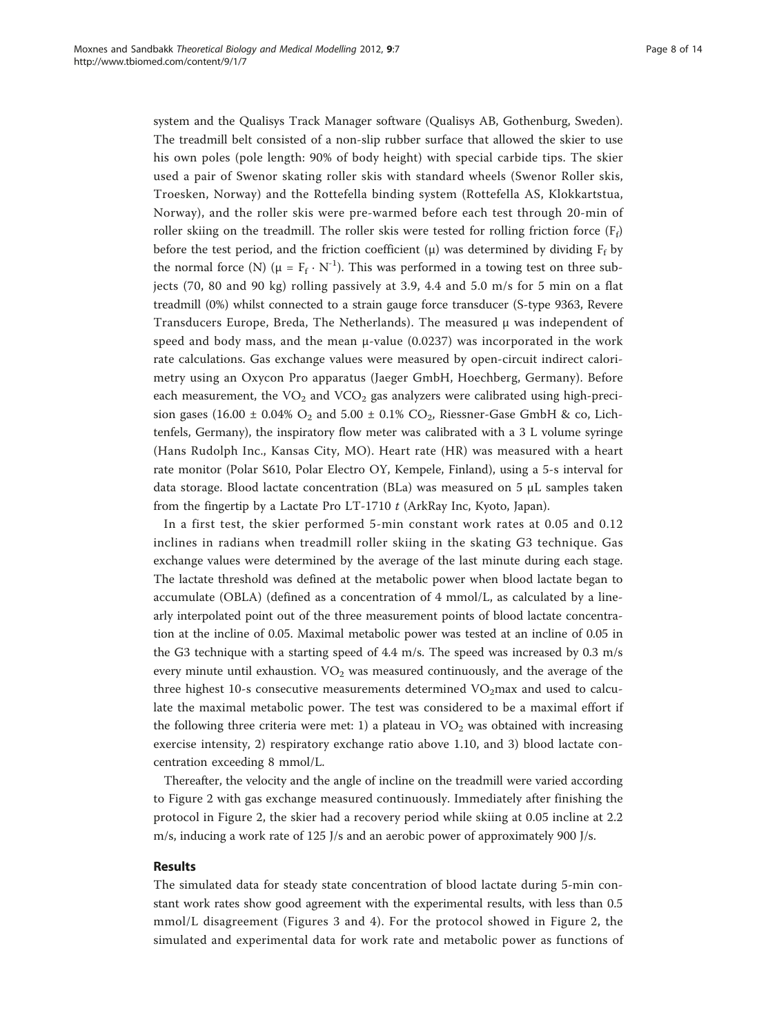system and the Qualisys Track Manager software (Qualisys AB, Gothenburg, Sweden). The treadmill belt consisted of a non-slip rubber surface that allowed the skier to use his own poles (pole length: 90% of body height) with special carbide tips. The skier used a pair of Swenor skating roller skis with standard wheels (Swenor Roller skis, Troesken, Norway) and the Rottefella binding system (Rottefella AS, Klokkartstua, Norway), and the roller skis were pre-warmed before each test through 20-min of roller skiing on the treadmill. The roller skis were tested for rolling friction force  $(F_f)$ before the test period, and the friction coefficient ( $\mu$ ) was determined by dividing F<sub>f</sub> by the normal force (N) ( $\mu = F_f \cdot N^{-1}$ ). This was performed in a towing test on three subjects (70, 80 and 90 kg) rolling passively at 3.9, 4.4 and 5.0 m/s for 5 min on a flat treadmill (0%) whilst connected to a strain gauge force transducer (S-type 9363, Revere Transducers Europe, Breda, The Netherlands). The measured μ was independent of speed and body mass, and the mean  $\mu$ -value (0.0237) was incorporated in the work rate calculations. Gas exchange values were measured by open-circuit indirect calorimetry using an Oxycon Pro apparatus (Jaeger GmbH, Hoechberg, Germany). Before each measurement, the  $VO<sub>2</sub>$  and  $VCO<sub>2</sub>$  gas analyzers were calibrated using high-precision gases (16.00  $\pm$  0.04% O<sub>2</sub> and 5.00  $\pm$  0.1% CO<sub>2</sub>, Riessner-Gase GmbH & co, Lichtenfels, Germany), the inspiratory flow meter was calibrated with a 3 L volume syringe (Hans Rudolph Inc., Kansas City, MO). Heart rate (HR) was measured with a heart rate monitor (Polar S610, Polar Electro OY, Kempele, Finland), using a 5-s interval for data storage. Blood lactate concentration (BLa) was measured on 5 μL samples taken from the fingertip by a Lactate Pro LT-1710  $t$  (ArkRay Inc, Kyoto, Japan).

In a first test, the skier performed 5-min constant work rates at 0.05 and 0.12 inclines in radians when treadmill roller skiing in the skating G3 technique. Gas exchange values were determined by the average of the last minute during each stage. The lactate threshold was defined at the metabolic power when blood lactate began to accumulate (OBLA) (defined as a concentration of 4 mmol/L, as calculated by a linearly interpolated point out of the three measurement points of blood lactate concentration at the incline of 0.05. Maximal metabolic power was tested at an incline of 0.05 in the G3 technique with a starting speed of 4.4 m/s. The speed was increased by 0.3 m/s every minute until exhaustion.  $VO<sub>2</sub>$  was measured continuously, and the average of the three highest 10-s consecutive measurements determined  $VO<sub>2</sub>$ max and used to calculate the maximal metabolic power. The test was considered to be a maximal effort if the following three criteria were met: 1) a plateau in  $VO<sub>2</sub>$  was obtained with increasing exercise intensity, 2) respiratory exchange ratio above 1.10, and 3) blood lactate concentration exceeding 8 mmol/L.

Thereafter, the velocity and the angle of incline on the treadmill were varied according to Figure [2](#page-8-0) with gas exchange measured continuously. Immediately after finishing the protocol in Figure [2,](#page-8-0) the skier had a recovery period while skiing at 0.05 incline at 2.2 m/s, inducing a work rate of 125 J/s and an aerobic power of approximately 900 J/s.

## Results

The simulated data for steady state concentration of blood lactate during 5-min constant work rates show good agreement with the experimental results, with less than 0.5 mmol/L disagreement (Figures [3](#page-8-0) and [4\)](#page-9-0). For the protocol showed in Figure [2](#page-8-0), the simulated and experimental data for work rate and metabolic power as functions of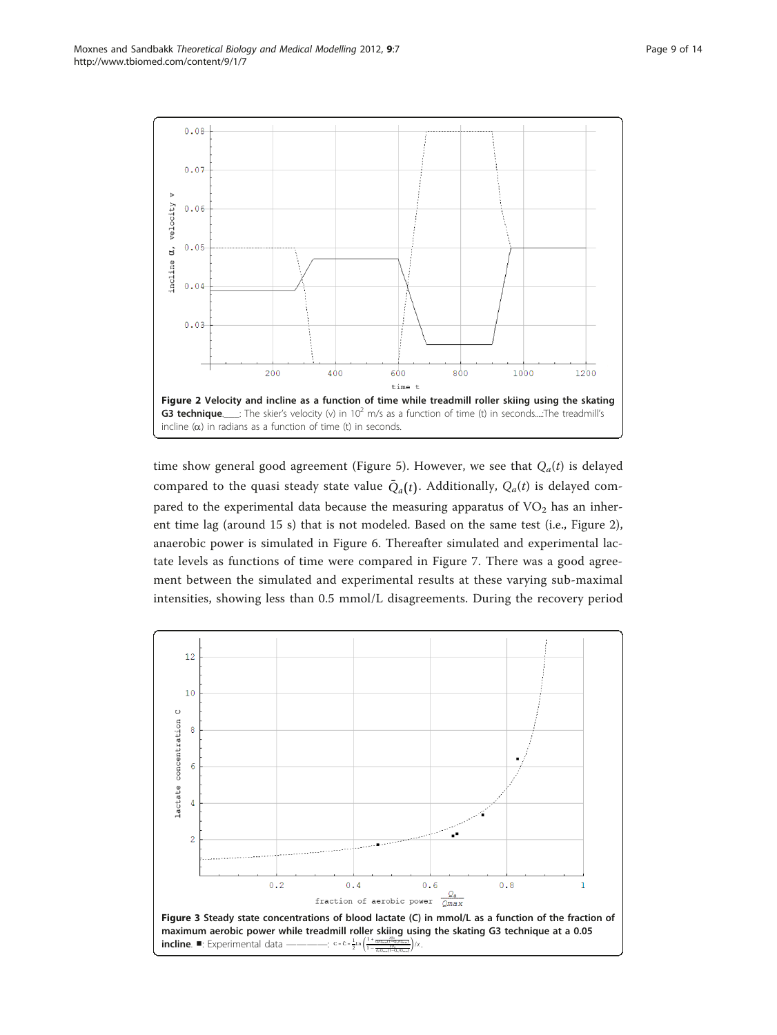<span id="page-8-0"></span>

time show general good agreement (Figure [5](#page-9-0)). However, we see that  $Q_a(t)$  is delayed compared to the quasi steady state value  $\overline{Q}_a(t)$ . Additionally,  $Q_a(t)$  is delayed compared to the experimental data because the measuring apparatus of  $VO<sub>2</sub>$  has an inherent time lag (around 15 s) that is not modeled. Based on the same test (i.e., Figure 2), anaerobic power is simulated in Figure [6.](#page-10-0) Thereafter simulated and experimental lactate levels as functions of time were compared in Figure [7.](#page-11-0) There was a good agreement between the simulated and experimental results at these varying sub-maximal intensities, showing less than 0.5 mmol/L disagreements. During the recovery period

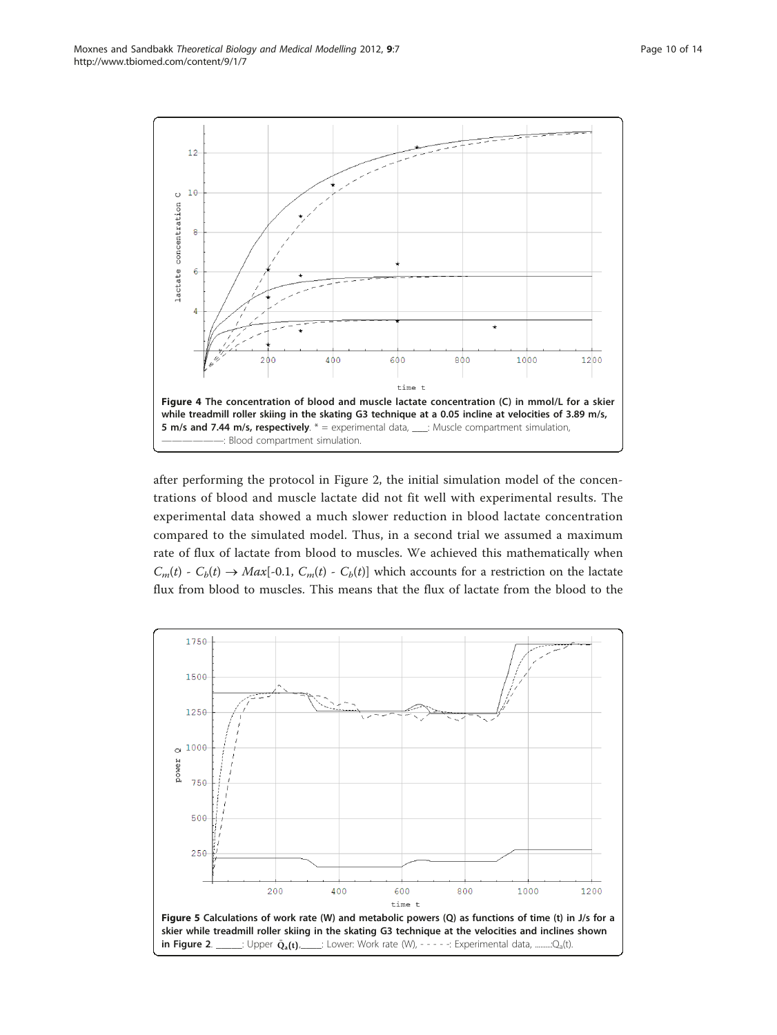<span id="page-9-0"></span>

after performing the protocol in Figure [2,](#page-8-0) the initial simulation model of the concentrations of blood and muscle lactate did not fit well with experimental results. The experimental data showed a much slower reduction in blood lactate concentration compared to the simulated model. Thus, in a second trial we assumed a maximum rate of flux of lactate from blood to muscles. We achieved this mathematically when  $C_m(t)$  -  $C_b(t) \rightarrow Max[-0.1, C_m(t) - C_b(t)]$  which accounts for a restriction on the lactate flux from blood to muscles. This means that the flux of lactate from the blood to the

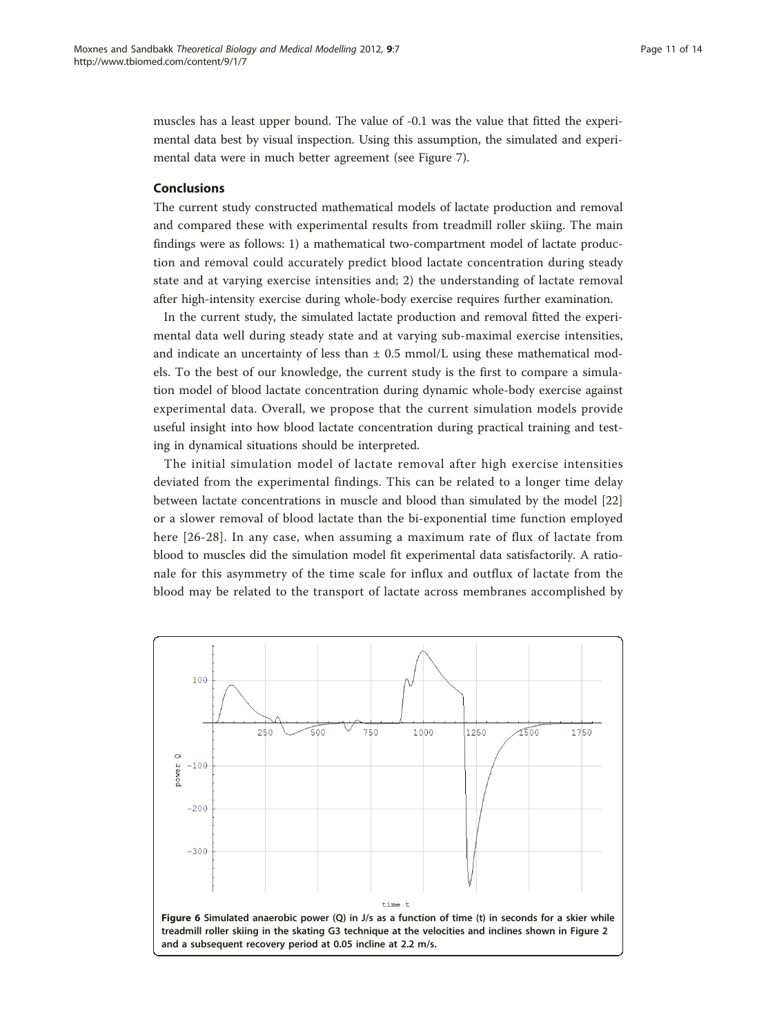<span id="page-10-0"></span>muscles has a least upper bound. The value of -0.1 was the value that fitted the experimental data best by visual inspection. Using this assumption, the simulated and experimental data were in much better agreement (see Figure [7\)](#page-11-0).

# Conclusions

The current study constructed mathematical models of lactate production and removal and compared these with experimental results from treadmill roller skiing. The main findings were as follows: 1) a mathematical two-compartment model of lactate production and removal could accurately predict blood lactate concentration during steady state and at varying exercise intensities and; 2) the understanding of lactate removal after high-intensity exercise during whole-body exercise requires further examination.

In the current study, the simulated lactate production and removal fitted the experimental data well during steady state and at varying sub-maximal exercise intensities, and indicate an uncertainty of less than  $\pm$  0.5 mmol/L using these mathematical models. To the best of our knowledge, the current study is the first to compare a simulation model of blood lactate concentration during dynamic whole-body exercise against experimental data. Overall, we propose that the current simulation models provide useful insight into how blood lactate concentration during practical training and testing in dynamical situations should be interpreted.

The initial simulation model of lactate removal after high exercise intensities deviated from the experimental findings. This can be related to a longer time delay between lactate concentrations in muscle and blood than simulated by the model [[22](#page-12-0)] or a slower removal of blood lactate than the bi-exponential time function employed here [[26](#page-13-0)-[28](#page-13-0)]. In any case, when assuming a maximum rate of flux of lactate from blood to muscles did the simulation model fit experimental data satisfactorily. A rationale for this asymmetry of the time scale for influx and outflux of lactate from the blood may be related to the transport of lactate across membranes accomplished by

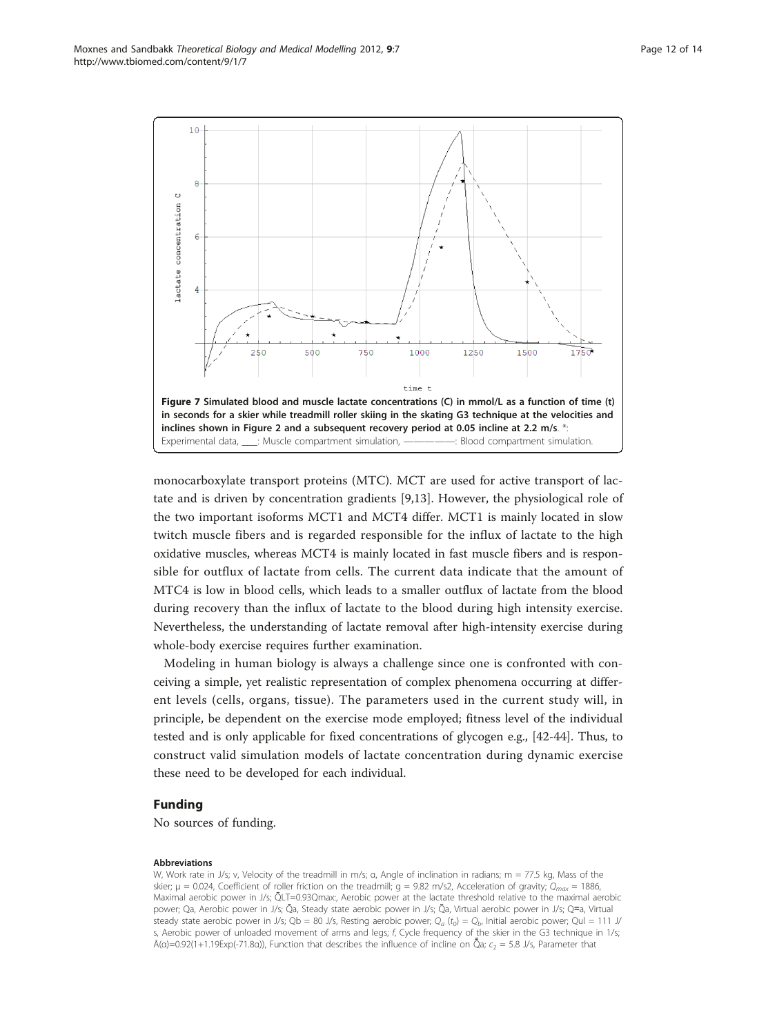<span id="page-11-0"></span>

monocarboxylate transport proteins (MTC). MCT are used for active transport of lactate and is driven by concentration gradients [\[9,13](#page-12-0)]. However, the physiological role of the two important isoforms MCT1 and MCT4 differ. MCT1 is mainly located in slow twitch muscle fibers and is regarded responsible for the influx of lactate to the high oxidative muscles, whereas MCT4 is mainly located in fast muscle fibers and is responsible for outflux of lactate from cells. The current data indicate that the amount of MTC4 is low in blood cells, which leads to a smaller outflux of lactate from the blood during recovery than the influx of lactate to the blood during high intensity exercise. Nevertheless, the understanding of lactate removal after high-intensity exercise during whole-body exercise requires further examination.

Modeling in human biology is always a challenge since one is confronted with conceiving a simple, yet realistic representation of complex phenomena occurring at different levels (cells, organs, tissue). The parameters used in the current study will, in principle, be dependent on the exercise mode employed; fitness level of the individual tested and is only applicable for fixed concentrations of glycogen e.g., [\[42](#page-13-0)-[44](#page-13-0)]. Thus, to construct valid simulation models of lactate concentration during dynamic exercise these need to be developed for each individual.

# Funding

No sources of funding.

#### Abbreviations

W, Work rate in J/s; v, Velocity of the treadmill in m/s; α, Angle of inclination in radians; m = 77.5 kg, Mass of the skier;  $\mu = 0.024$ , Coefficient of roller friction on the treadmill;  $g = 9.82$  m/s2, Acceleration of gravity;  $Q_{max} = 1886$ , Maximal aerobic power in J/s; QLT=0.93Qmax:, Aerobic power at the lactate threshold relative to the maximal aerobic power; Qa, Aerobic power in J/s; Ō̄a, Steady state aerobic power in J/s; Ȭa, Virtual aerobic power in J/s; Q≂a, Virtual steady state aerobic power in J/s; Qb = 80 J/s, Resting aerobic power;  $Q_a$  (t<sub>0</sub>) =  $Q_b$ , Initial aerobic power; Qul = 111 J/ s, Aerobic power of unloaded movement of arms and legs; f, Cycle frequency of the skier in the G3 technique in 1/s;  $\bar{A}$ (a)=0.92(1+1.19Exp(-71.8a)), Function that describes the influence of incline on  $\tilde{Q}a$ ;  $c_2 = 5.8$  J/s, Parameter that ̄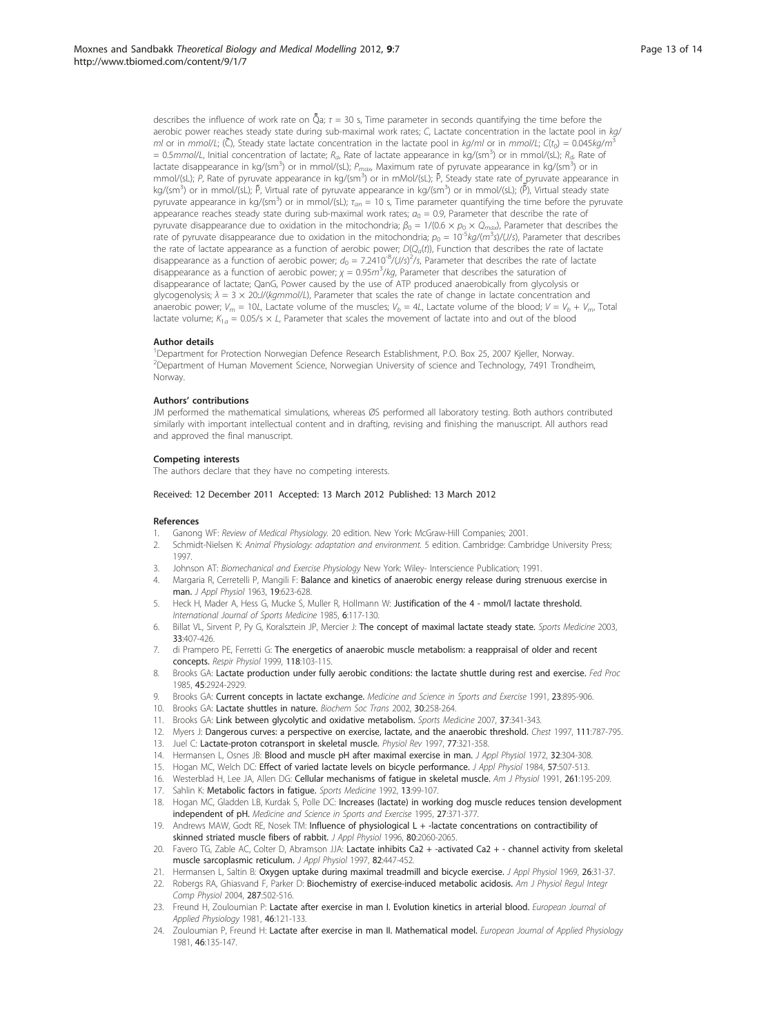<span id="page-12-0"></span>describes the influence of work rate on  $\tilde{Q}a$ ;  $\tau$  = 30 s, Time parameter in seconds quantifying the time before the aerobic power reaches steady state during sub-maximal work rates; C, Lactate concentration in the lactate pool in kg/ ml or in mmol/L; ( $\bar{C}$ ), Steady state lactate concentration in the lactate pool in kg/ml or in mmol/L;  $C(t_0) = 0.045$ kg/m<sup>3</sup> = 0.5mmol/L, Initial concentration of lactate;  $R_a$ , Rate of lactate appearance in kg/(sm<sup>3</sup>) or in mmol/(sL);  $R_a$ , Rate of lactate disappearance in kg/(sm<sup>3</sup>) or in mmol/(sL);  $P_{max}$ , Maximum rate of pyruvate appearance in kg/(sm<sup>3</sup>) or in mmol/(sL); P, Rate of pyruvate appearance in kg/(sm<sup>3</sup>) or in mMol/(sL); P, Steady state rate of pyruvate appearance in kg/(sm<sup>3</sup>) or in mmol/(sL); P, Virtual rate of pyruvate appearance in kg/(sm<sup>3</sup>) or in mmol/(sL); (P), Virtual steady state ̄ pyruvate appearance in kg/(sm<sup>3</sup>) or in mmol/(sL);  $\tau_{an}$  = 10 s, Time parameter quantifying the time before the pyruvate appearance reaches steady state during sub-maximal work rates;  $a_0 = 0.9$ , Parameter that describe the rate of pyruvate disappearance due to oxidation in the mitochondria;  $\beta_0 = 1/(0.6 \times p_0 \times Q_{max})$ , Parameter that describes the Trate of pyruvate disappearance due to oxidation in the mitochondria;  $p_0 = 10^{-5} kg/(m^3 s)/(J/s)$ , Parameter that describes the rate of lactate appearance as a function of aerobic power;  $D(Q_a(t))$ , Function that describes the rate of lactate disappearance as a function of aerobic power;  $d_0 = 7.2410^{-8}$ /(J/s)<sup>2</sup>/s, Parameter that describes the rate of lactate disappearance as a function of aerobic power;  $\chi = 0.95 m^3/kg$ , Parameter that describes the saturation of disappearance of lactate; QanG, Power caused by the use of ATP produced anaerobically from glycolysis or glycogenolysis;  $\lambda = 3 \times 20$ ://(kgmmol/L), Parameter that scales the rate of change in lactate concentration and anaerobic power;  $V_m = 10L$ , Lactate volume of the muscles;  $V_b = 4L$ , Lactate volume of the blood;  $V = V_b + V_m$ , Total lactate volume;  $K_{1a} = 0.05/s \times L$ , Parameter that scales the movement of lactate into and out of the blood

#### Author details

<sup>1</sup>Department for Protection Norwegian Defence Research Establishment, P.O. Box 25, 2007 Kjeller, Norway. 2 Department of Human Movement Science, Norwegian University of science and Technology, 7491 Trondheim, Norway.

### Authors' contributions

JM performed the mathematical simulations, whereas ØS performed all laboratory testing. Both authors contributed similarly with important intellectual content and in drafting, revising and finishing the manuscript. All authors read and approved the final manuscript.

#### Competing interests

The authors declare that they have no competing interests.

### Received: 12 December 2011 Accepted: 13 March 2012 Published: 13 March 2012

#### References

- 1. Ganong WF: Review of Medical Physiology. 20 edition. New York: McGraw-Hill Companies; 2001.
- 2. Schmidt-Nielsen K: Animal Physiology: adaptation and environment. 5 edition. Cambridge: Cambridge University Press; 1997.
- 3. Johnson AT: Biomechanical and Exercise Physiology New York: Wiley- Interscience Publication; 1991.
- 4. Margaria R, Cerretelli P, Mangili F: Balance and kinetics of anaerobic energy release during strenuous exercise in man. J Appl Physiol 1963, 19:623-628.
- Heck H, Mader A, Hess G, Mucke S, Muller R, Hollmann W: [Justification of the 4 mmol/l lactate threshold.](http://www.ncbi.nlm.nih.gov/pubmed/4030186?dopt=Abstract) International Journal of Sports Medicine 1985, 6:117-130.
- 6. Billat VL, Sirvent P, Py G, Koralsztein JP, Mercier J: [The concept of maximal lactate steady state.](http://www.ncbi.nlm.nih.gov/pubmed/12744715?dopt=Abstract) Sports Medicine 2003, 33:407-426.
- 7. di Prampero PE, Ferretti G: [The energetics of anaerobic muscle metabolism: a reappraisal of older and recent](http://www.ncbi.nlm.nih.gov/pubmed/10647856?dopt=Abstract) [concepts.](http://www.ncbi.nlm.nih.gov/pubmed/10647856?dopt=Abstract) Respir Physiol 1999, 118:103-115.
- 8. Brooks GA: Lactate production under fully aerobic conditions: the lactate shuttle during rest and exercise. Fed Proc 1985, 45:2924-2929.
- 9. Brooks GA: [Current concepts in lactate exchange.](http://www.ncbi.nlm.nih.gov/pubmed/1956262?dopt=Abstract) Medicine and Science in Sports and Exercise 1991, 23:895-906.
- 10. Brooks GA: [Lactate shuttles in nature.](http://www.ncbi.nlm.nih.gov/pubmed/12023861?dopt=Abstract) Biochem Soc Trans 2002, 30:258-264.
- 11. Brooks GA: [Link between glycolytic and oxidative metabolism.](http://www.ncbi.nlm.nih.gov/pubmed/17465603?dopt=Abstract) Sports Medicine 2007, 37:341-343.
- 12. Myers J: [Dangerous curves: a perspective on exercise, lactate, and the anaerobic threshold.](http://www.ncbi.nlm.nih.gov/pubmed/9118720?dopt=Abstract) Chest 1997, 111:787-795.
- 13. Juel C: [Lactate-proton cotransport in skeletal muscle.](http://www.ncbi.nlm.nih.gov/pubmed/9114817?dopt=Abstract) Physiol Rev 1997, 77:321-358.
- 14. Hermansen L, Osnes JB: [Blood and muscle pH after maximal exercise in man.](http://www.ncbi.nlm.nih.gov/pubmed/5010039?dopt=Abstract) J Appl Physiol 1972, 32:304-308.
- 15. Hogan MC, Welch DC: [Effect of varied lactate levels on bicycle performance.](http://www.ncbi.nlm.nih.gov/pubmed/6432755?dopt=Abstract) J Appl Physiol 1984, 57:507-513.
- 16. Westerblad H, Lee JA, Allen DG: Cellular mechanisms of fatigue in skeletal muscle. Am J Physiol 1991, 261:195-209.
- 17. Sahlin K: Metabolic factors in fatique. Sports Medicine 1992, 13:99-107.
- 18. Hogan MC, Gladden LB, Kurdak S, Polle DC: [Increases \(lactate\) in working dog muscle reduces tension development](http://www.ncbi.nlm.nih.gov/pubmed/7752864?dopt=Abstract) [independent of pH.](http://www.ncbi.nlm.nih.gov/pubmed/7752864?dopt=Abstract) Medicine and Science in Sports and Exercise 1995, 27:371-377
- 19. Andrews MAW, Godt RE, Nosek TM: [Influence of physiological L + -lactate concentrations on contractibility of](http://www.ncbi.nlm.nih.gov/pubmed/8806914?dopt=Abstract) [skinned striated muscle fibers of rabbit.](http://www.ncbi.nlm.nih.gov/pubmed/8806914?dopt=Abstract) J Appl Physiol 1996, 80:2060-2065
- 20. Favero TG, Zable AC, Colter D, Abramson JJA: [Lactate inhibits Ca2 + -activated Ca2 + channel activity from skeletal](http://www.ncbi.nlm.nih.gov/pubmed/9049723?dopt=Abstract) [muscle sarcoplasmic reticulum.](http://www.ncbi.nlm.nih.gov/pubmed/9049723?dopt=Abstract) J Appl Physiol 1997, 82:447-452.
- 21. Hermansen L, Saltin B: [Oxygen uptake during maximal treadmill and bicycle exercise.](http://www.ncbi.nlm.nih.gov/pubmed/5762873?dopt=Abstract) J Appl Physiol 1969, 26:31-37.
- 22. Robergs RA, Ghiasvand F, Parker D: Biochemistry of exercise-induced metabolic acidosis. Am J Physiol Regul Integr Comp Physiol 2004, 287:502-516.
- 23. Freund H, Zouloumian P: Lactate after exercise in man I. Evolution kinetics in arterial blood. European Journal of Applied Physiology 1981, 46:121-133.
- 24. Zouloumian P, Freund H: Lactate after exercise in man II. Mathematical model. European Journal of Applied Physiology 1981, 46:135-147.